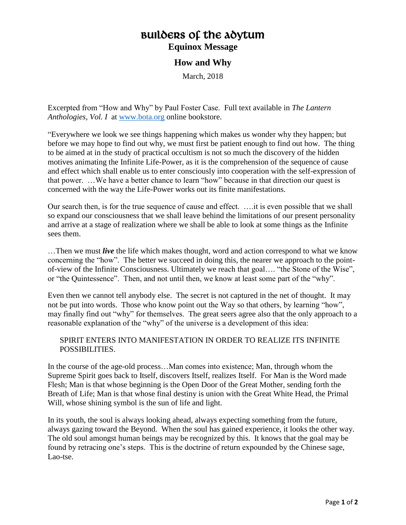## Builders of the Adytum **Equinox Message**

## **How and Why**

March, 2018

Excerpted from "How and Why" by Paul Foster Case. Full text available in *The Lantern Anthologies, Vol. I* at [www.bota.org](http://www.bota.org/) online bookstore.

"Everywhere we look we see things happening which makes us wonder why they happen; but before we may hope to find out why, we must first be patient enough to find out how. The thing to be aimed at in the study of practical occultism is not so much the discovery of the hidden motives animating the Infinite Life-Power, as it is the comprehension of the sequence of cause and effect which shall enable us to enter consciously into cooperation with the self-expression of that power. …We have a better chance to learn "how" because in that direction our quest is concerned with the way the Life-Power works out its finite manifestations.

Our search then, is for the true sequence of cause and effect. ….it is even possible that we shall so expand our consciousness that we shall leave behind the limitations of our present personality and arrive at a stage of realization where we shall be able to look at some things as the Infinite sees them.

…Then we must *live* the life which makes thought, word and action correspond to what we know concerning the "how". The better we succeed in doing this, the nearer we approach to the pointof-view of the Infinite Consciousness. Ultimately we reach that goal…. "the Stone of the Wise", or "the Quintessence". Then, and not until then, we know at least some part of the "why".

Even then we cannot tell anybody else. The secret is not captured in the net of thought. It may not be put into words. Those who know point out the Way so that others, by learning "how", may finally find out "why" for themselves. The great seers agree also that the only approach to a reasonable explanation of the "why" of the universe is a development of this idea:

## SPIRIT ENTERS INTO MANIFESTATION IN ORDER TO REALIZE ITS INFINITE POSSIBILITIES.

In the course of the age-old process…Man comes into existence; Man, through whom the Supreme Spirit goes back to Itself, discovers Itself, realizes Itself. For Man is the Word made Flesh; Man is that whose beginning is the Open Door of the Great Mother, sending forth the Breath of Life; Man is that whose final destiny is union with the Great White Head, the Primal Will, whose shining symbol is the sun of life and light.

In its youth, the soul is always looking ahead, always expecting something from the future, always gazing toward the Beyond. When the soul has gained experience, it looks the other way. The old soul amongst human beings may be recognized by this. It knows that the goal may be found by retracing one's steps. This is the doctrine of return expounded by the Chinese sage, Lao-tse.